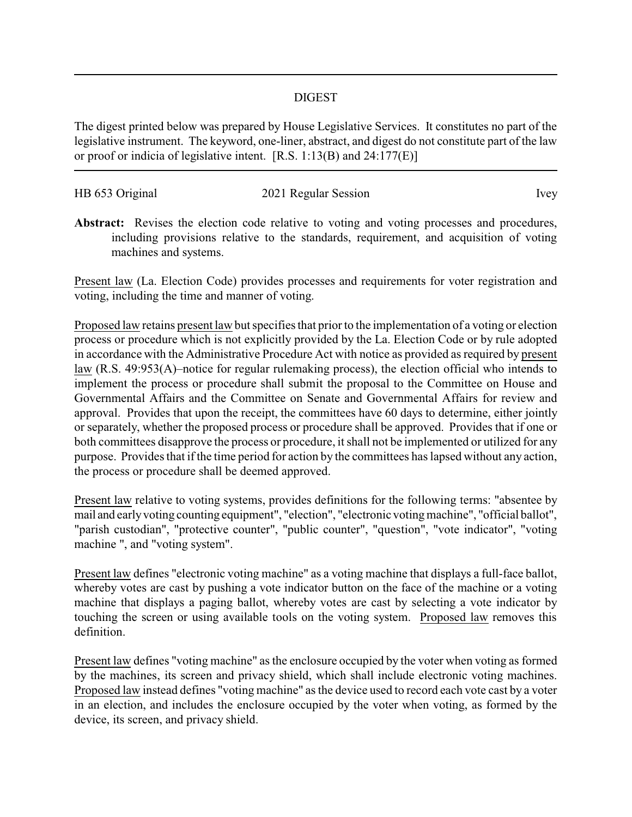## DIGEST

The digest printed below was prepared by House Legislative Services. It constitutes no part of the legislative instrument. The keyword, one-liner, abstract, and digest do not constitute part of the law or proof or indicia of legislative intent. [R.S. 1:13(B) and 24:177(E)]

| HB 653 Original | 2021 Regular Session | <i>lvey</i> |
|-----------------|----------------------|-------------|
|                 |                      |             |

Abstract: Revises the election code relative to voting and voting processes and procedures, including provisions relative to the standards, requirement, and acquisition of voting machines and systems.

Present law (La. Election Code) provides processes and requirements for voter registration and voting, including the time and manner of voting.

Proposed law retains present law but specifies that prior to the implementation of a voting or election process or procedure which is not explicitly provided by the La. Election Code or by rule adopted in accordance with the Administrative Procedure Act with notice as provided as required by present law (R.S. 49:953(A)–notice for regular rulemaking process), the election official who intends to implement the process or procedure shall submit the proposal to the Committee on House and Governmental Affairs and the Committee on Senate and Governmental Affairs for review and approval. Provides that upon the receipt, the committees have 60 days to determine, either jointly or separately, whether the proposed process or procedure shall be approved. Provides that if one or both committees disapprove the process or procedure, it shall not be implemented or utilized for any purpose. Provides that if the time period for action by the committees has lapsed without any action, the process or procedure shall be deemed approved.

Present law relative to voting systems, provides definitions for the following terms: "absentee by mail and earlyvoting counting equipment", "election", "electronic votingmachine", "official ballot", "parish custodian", "protective counter", "public counter", "question", "vote indicator", "voting machine ", and "voting system".

Present law defines "electronic voting machine" as a voting machine that displays a full-face ballot, whereby votes are cast by pushing a vote indicator button on the face of the machine or a voting machine that displays a paging ballot, whereby votes are cast by selecting a vote indicator by touching the screen or using available tools on the voting system. Proposed law removes this definition.

Present law defines "voting machine" as the enclosure occupied by the voter when voting as formed by the machines, its screen and privacy shield, which shall include electronic voting machines. Proposed law instead defines "voting machine" as the device used to record each vote cast by a voter in an election, and includes the enclosure occupied by the voter when voting, as formed by the device, its screen, and privacy shield.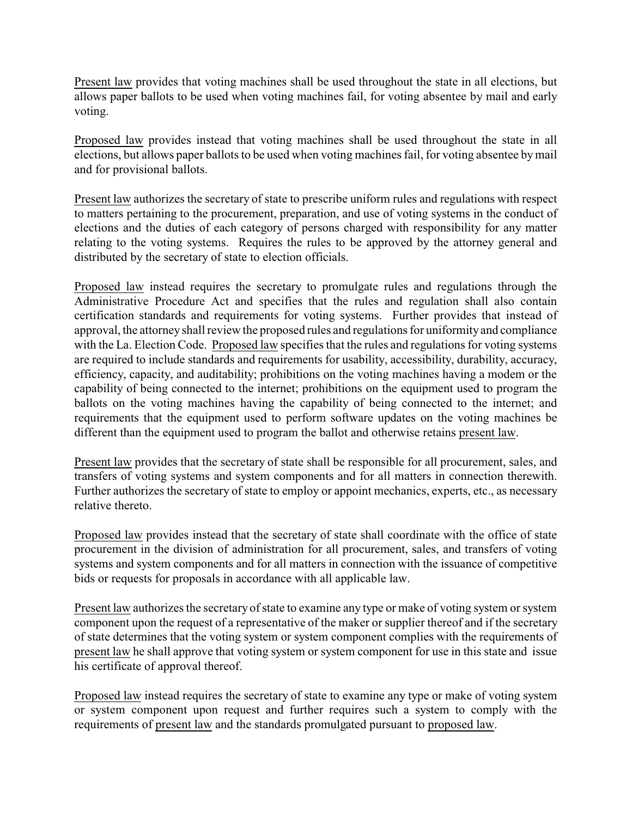Present law provides that voting machines shall be used throughout the state in all elections, but allows paper ballots to be used when voting machines fail, for voting absentee by mail and early voting.

Proposed law provides instead that voting machines shall be used throughout the state in all elections, but allows paper ballots to be used when voting machines fail, for voting absentee bymail and for provisional ballots.

Present law authorizes the secretary of state to prescribe uniform rules and regulations with respect to matters pertaining to the procurement, preparation, and use of voting systems in the conduct of elections and the duties of each category of persons charged with responsibility for any matter relating to the voting systems. Requires the rules to be approved by the attorney general and distributed by the secretary of state to election officials.

Proposed law instead requires the secretary to promulgate rules and regulations through the Administrative Procedure Act and specifies that the rules and regulation shall also contain certification standards and requirements for voting systems. Further provides that instead of approval, the attorneyshall review the proposed rules and regulations for uniformityand compliance with the La. Election Code. Proposed law specifies that the rules and regulations for voting systems are required to include standards and requirements for usability, accessibility, durability, accuracy, efficiency, capacity, and auditability; prohibitions on the voting machines having a modem or the capability of being connected to the internet; prohibitions on the equipment used to program the ballots on the voting machines having the capability of being connected to the internet; and requirements that the equipment used to perform software updates on the voting machines be different than the equipment used to program the ballot and otherwise retains present law.

Present law provides that the secretary of state shall be responsible for all procurement, sales, and transfers of voting systems and system components and for all matters in connection therewith. Further authorizes the secretary of state to employ or appoint mechanics, experts, etc., as necessary relative thereto.

Proposed law provides instead that the secretary of state shall coordinate with the office of state procurement in the division of administration for all procurement, sales, and transfers of voting systems and system components and for all matters in connection with the issuance of competitive bids or requests for proposals in accordance with all applicable law.

Present law authorizes the secretary of state to examine any type or make of voting system or system component upon the request of a representative of the maker or supplier thereof and if the secretary of state determines that the voting system or system component complies with the requirements of present law he shall approve that voting system or system component for use in this state and issue his certificate of approval thereof.

Proposed law instead requires the secretary of state to examine any type or make of voting system or system component upon request and further requires such a system to comply with the requirements of present law and the standards promulgated pursuant to proposed law.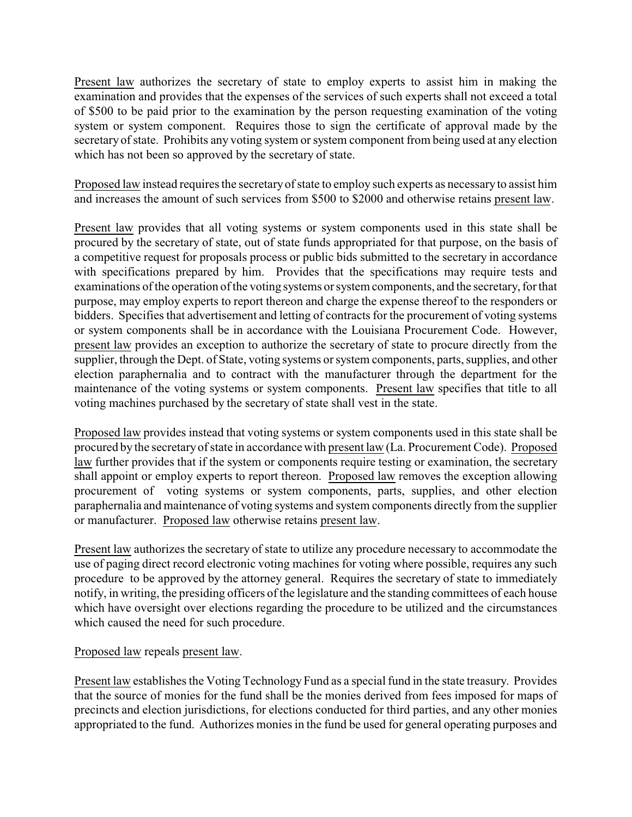Present law authorizes the secretary of state to employ experts to assist him in making the examination and provides that the expenses of the services of such experts shall not exceed a total of \$500 to be paid prior to the examination by the person requesting examination of the voting system or system component. Requires those to sign the certificate of approval made by the secretary of state. Prohibits any voting system or system component from being used at any election which has not been so approved by the secretary of state.

Proposed law instead requires the secretaryof state to employ such experts as necessaryto assist him and increases the amount of such services from \$500 to \$2000 and otherwise retains present law.

Present law provides that all voting systems or system components used in this state shall be procured by the secretary of state, out of state funds appropriated for that purpose, on the basis of a competitive request for proposals process or public bids submitted to the secretary in accordance with specifications prepared by him. Provides that the specifications may require tests and examinations of the operation of the voting systems or system components, and the secretary, for that purpose, may employ experts to report thereon and charge the expense thereof to the responders or bidders. Specifies that advertisement and letting of contracts for the procurement of voting systems or system components shall be in accordance with the Louisiana Procurement Code. However, present law provides an exception to authorize the secretary of state to procure directly from the supplier, through the Dept. of State, voting systems or system components, parts, supplies, and other election paraphernalia and to contract with the manufacturer through the department for the maintenance of the voting systems or system components. Present law specifies that title to all voting machines purchased by the secretary of state shall vest in the state.

Proposed law provides instead that voting systems or system components used in this state shall be procured by the secretaryof state in accordance with present law (La. Procurement Code). Proposed law further provides that if the system or components require testing or examination, the secretary shall appoint or employ experts to report thereon. Proposed law removes the exception allowing procurement of voting systems or system components, parts, supplies, and other election paraphernalia and maintenance of voting systems and system components directly from the supplier or manufacturer. Proposed law otherwise retains present law.

Present law authorizes the secretary of state to utilize any procedure necessary to accommodate the use of paging direct record electronic voting machines for voting where possible, requires any such procedure to be approved by the attorney general. Requires the secretary of state to immediately notify, in writing, the presiding officers of the legislature and the standing committees of each house which have oversight over elections regarding the procedure to be utilized and the circumstances which caused the need for such procedure.

## Proposed law repeals present law.

Present law establishes the Voting Technology Fund as a special fund in the state treasury. Provides that the source of monies for the fund shall be the monies derived from fees imposed for maps of precincts and election jurisdictions, for elections conducted for third parties, and any other monies appropriated to the fund. Authorizes monies in the fund be used for general operating purposes and